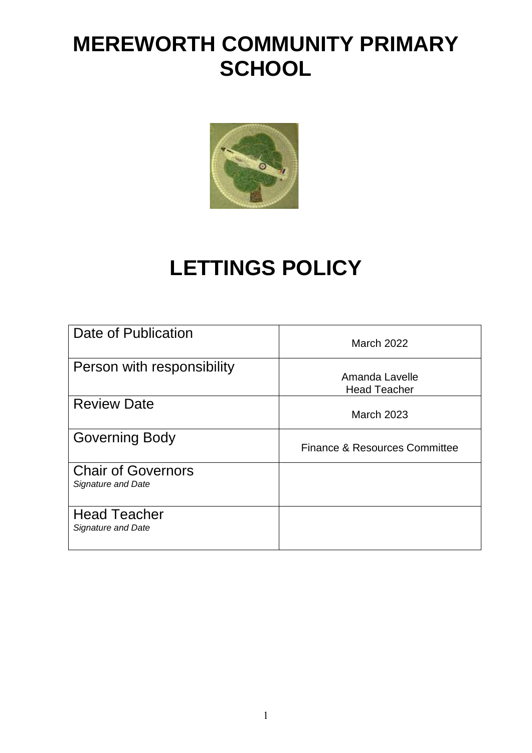# **MEREWORTH COMMUNITY PRIMARY SCHOOL**



# **LETTINGS POLICY**

| Date of Publication                             | <b>March 2022</b>                     |
|-------------------------------------------------|---------------------------------------|
| Person with responsibility                      | Amanda Lavelle<br><b>Head Teacher</b> |
| <b>Review Date</b>                              | <b>March 2023</b>                     |
| <b>Governing Body</b>                           | Finance & Resources Committee         |
| <b>Chair of Governors</b><br>Signature and Date |                                       |
| <b>Head Teacher</b><br>Signature and Date       |                                       |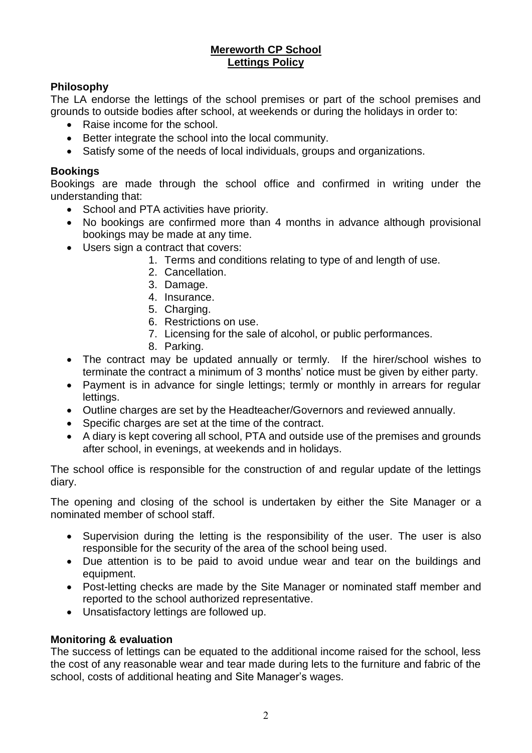### **Mereworth CP School Lettings Policy**

# **Philosophy**

The LA endorse the lettings of the school premises or part of the school premises and grounds to outside bodies after school, at weekends or during the holidays in order to:

- Raise income for the school.
- Better integrate the school into the local community.
- Satisfy some of the needs of local individuals, groups and organizations.

## **Bookings**

Bookings are made through the school office and confirmed in writing under the understanding that:

- School and PTA activities have priority.
- No bookings are confirmed more than 4 months in advance although provisional bookings may be made at any time.
- Users sign a contract that covers:
	- 1. Terms and conditions relating to type of and length of use.
	- 2. Cancellation.
	- 3. Damage.
	- 4. Insurance.
	- 5. Charging.
	- 6. Restrictions on use.
	- 7. Licensing for the sale of alcohol, or public performances.
	- 8. Parking.
- The contract may be updated annually or termly. If the hirer/school wishes to terminate the contract a minimum of 3 months' notice must be given by either party.
- Payment is in advance for single lettings; termly or monthly in arrears for regular lettings.
- Outline charges are set by the Headteacher/Governors and reviewed annually.
- Specific charges are set at the time of the contract.
- A diary is kept covering all school, PTA and outside use of the premises and grounds after school, in evenings, at weekends and in holidays.

The school office is responsible for the construction of and regular update of the lettings diary.

The opening and closing of the school is undertaken by either the Site Manager or a nominated member of school staff.

- Supervision during the letting is the responsibility of the user. The user is also responsible for the security of the area of the school being used.
- Due attention is to be paid to avoid undue wear and tear on the buildings and equipment.
- Post-letting checks are made by the Site Manager or nominated staff member and reported to the school authorized representative.
- Unsatisfactory lettings are followed up.

# **Monitoring & evaluation**

The success of lettings can be equated to the additional income raised for the school, less the cost of any reasonable wear and tear made during lets to the furniture and fabric of the school, costs of additional heating and Site Manager's wages.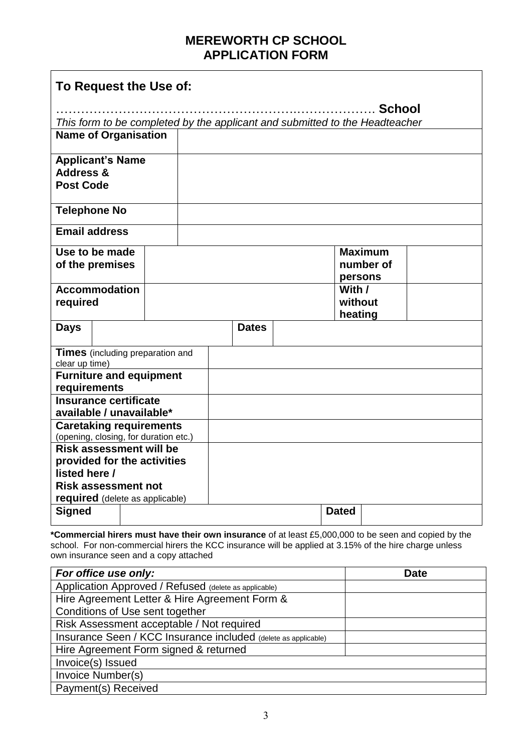# **MEREWORTH CP SCHOOL APPLICATION FORM**

| To Request the Use of:                                                  |                                                                             |  |  |              |         |                              |               |  |
|-------------------------------------------------------------------------|-----------------------------------------------------------------------------|--|--|--------------|---------|------------------------------|---------------|--|
|                                                                         |                                                                             |  |  |              |         |                              | <b>School</b> |  |
|                                                                         | This form to be completed by the applicant and submitted to the Headteacher |  |  |              |         |                              |               |  |
| <b>Name of Organisation</b>                                             |                                                                             |  |  |              |         |                              |               |  |
| <b>Applicant's Name</b><br><b>Address &amp;</b><br><b>Post Code</b>     |                                                                             |  |  |              |         |                              |               |  |
| <b>Telephone No</b>                                                     |                                                                             |  |  |              |         |                              |               |  |
| <b>Email address</b>                                                    |                                                                             |  |  |              |         |                              |               |  |
| Use to be made<br>of the premises                                       |                                                                             |  |  |              | persons | <b>Maximum</b><br>number of  |               |  |
| required                                                                | <b>Accommodation</b>                                                        |  |  |              |         | With /<br>without<br>heating |               |  |
| <b>Days</b>                                                             |                                                                             |  |  | <b>Dates</b> |         |                              |               |  |
| Times (including preparation and<br>clear up time)                      |                                                                             |  |  |              |         |                              |               |  |
| <b>Furniture and equipment</b>                                          |                                                                             |  |  |              |         |                              |               |  |
| requirements<br>Insurance certificate<br>available / unavailable*       |                                                                             |  |  |              |         |                              |               |  |
| <b>Caretaking requirements</b><br>(opening, closing, for duration etc.) |                                                                             |  |  |              |         |                              |               |  |
| <b>Risk assessment will be</b>                                          |                                                                             |  |  |              |         |                              |               |  |
| provided for the activities<br>listed here /                            |                                                                             |  |  |              |         |                              |               |  |
| <b>Risk assessment not</b>                                              |                                                                             |  |  |              |         |                              |               |  |
| required (delete as applicable)                                         |                                                                             |  |  |              |         |                              |               |  |
| <b>Signed</b>                                                           |                                                                             |  |  |              |         | <b>Dated</b>                 |               |  |

**\*Commercial hirers must have their own insurance** of at least £5,000,000 to be seen and copied by the school. For non-commercial hirers the KCC insurance will be applied at 3.15% of the hire charge unless own insurance seen and a copy attached

| For office use only:                                           | <b>Date</b> |
|----------------------------------------------------------------|-------------|
| Application Approved / Refused (delete as applicable)          |             |
| Hire Agreement Letter & Hire Agreement Form &                  |             |
| Conditions of Use sent together                                |             |
| Risk Assessment acceptable / Not required                      |             |
| Insurance Seen / KCC Insurance included (delete as applicable) |             |
| Hire Agreement Form signed & returned                          |             |
| Invoice(s) Issued                                              |             |
| Invoice Number(s)                                              |             |
| Payment(s) Received                                            |             |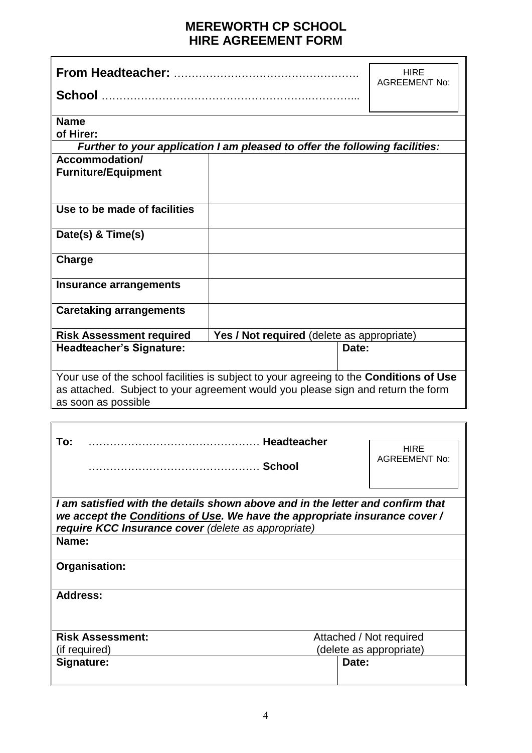# **MEREWORTH CP SCHOOL HIRE AGREEMENT FORM**

|                                                                                                                                                                                                                              |                                                                             | <b>HIRE</b><br><b>AGREEMENT No:</b> |  |  |
|------------------------------------------------------------------------------------------------------------------------------------------------------------------------------------------------------------------------------|-----------------------------------------------------------------------------|-------------------------------------|--|--|
|                                                                                                                                                                                                                              |                                                                             |                                     |  |  |
| <b>Name</b><br>of Hirer:                                                                                                                                                                                                     |                                                                             |                                     |  |  |
|                                                                                                                                                                                                                              | Further to your application I am pleased to offer the following facilities: |                                     |  |  |
| Accommodation/                                                                                                                                                                                                               |                                                                             |                                     |  |  |
| <b>Furniture/Equipment</b>                                                                                                                                                                                                   |                                                                             |                                     |  |  |
| Use to be made of facilities                                                                                                                                                                                                 |                                                                             |                                     |  |  |
| Date(s) & Time(s)                                                                                                                                                                                                            |                                                                             |                                     |  |  |
| Charge                                                                                                                                                                                                                       |                                                                             |                                     |  |  |
| Insurance arrangements                                                                                                                                                                                                       |                                                                             |                                     |  |  |
| <b>Caretaking arrangements</b>                                                                                                                                                                                               |                                                                             |                                     |  |  |
| <b>Risk Assessment required</b>                                                                                                                                                                                              | Yes / Not required (delete as appropriate)                                  |                                     |  |  |
| <b>Headteacher's Signature:</b>                                                                                                                                                                                              |                                                                             | Date:                               |  |  |
| Your use of the school facilities is subject to your agreeing to the Conditions of Use<br>as attached. Subject to your agreement would you please sign and return the form<br>as soon as possible                            |                                                                             |                                     |  |  |
|                                                                                                                                                                                                                              |                                                                             |                                     |  |  |
| To:                                                                                                                                                                                                                          |                                                                             | <b>HIRE</b><br>AGREEMENT No:        |  |  |
| I am satisfied with the details shown above and in the letter and confirm that<br>we accept the Conditions of Use. We have the appropriate insurance cover /<br>require KCC Insurance cover (delete as appropriate)<br>Name: |                                                                             |                                     |  |  |
|                                                                                                                                                                                                                              |                                                                             |                                     |  |  |
| Organisation:                                                                                                                                                                                                                |                                                                             |                                     |  |  |
| <b>Address:</b>                                                                                                                                                                                                              |                                                                             |                                     |  |  |
| <b>Risk Assessment:</b>                                                                                                                                                                                                      |                                                                             | Attached / Not required             |  |  |
| (if required)                                                                                                                                                                                                                |                                                                             | (delete as appropriate)             |  |  |
| Signature:                                                                                                                                                                                                                   |                                                                             | Date:                               |  |  |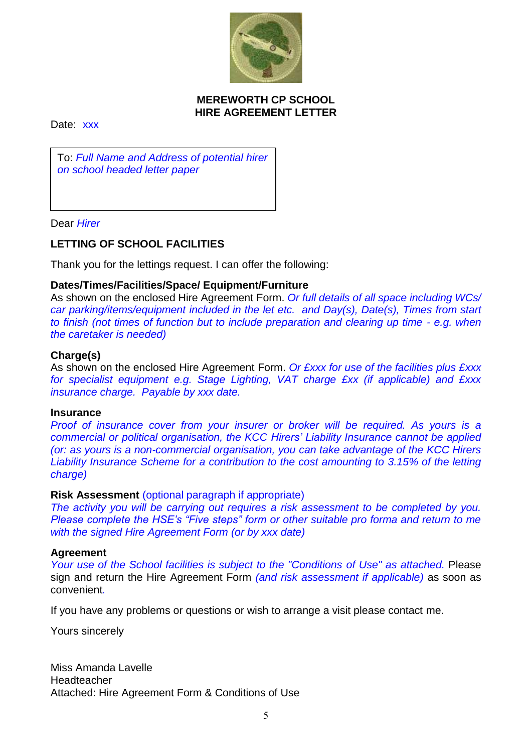

#### **MEREWORTH CP SCHOOL HIRE AGREEMENT LETTER**

Date: xxx

To: *Full Name and Address of potential hirer on school headed letter paper*

Dear *Hirer*

## **LETTING OF SCHOOL FACILITIES**

Thank you for the lettings request. I can offer the following:

#### **Dates/Times/Facilities/Space/ Equipment/Furniture**

As shown on the enclosed Hire Agreement Form. *Or full details of all space including WCs/ car parking/items/equipment included in the let etc. and Day(s), Date(s), Times from start to finish (not times of function but to include preparation and clearing up time - e.g. when the caretaker is needed)*

#### **Charge(s)**

As shown on the enclosed Hire Agreement Form. *Or £xxx for use of the facilities plus £xxx for specialist equipment e.g. Stage Lighting, VAT charge £xx (if applicable) and £xxx insurance charge. Payable by xxx date.*

#### **Insurance**

*Proof of insurance cover from your insurer or broker will be required. As yours is a commercial or political organisation, the KCC Hirers' Liability Insurance cannot be applied (or: as yours is a non-commercial organisation, you can take advantage of the KCC Hirers Liability Insurance Scheme for a contribution to the cost amounting to 3.15% of the letting charge)*

#### **Risk Assessment** (optional paragraph if appropriate)

*The activity you will be carrying out requires a risk assessment to be completed by you. Please complete the HSE's "Five steps" form or other suitable pro forma and return to me with the signed Hire Agreement Form (or by xxx date)*

#### **Agreement**

*Your use of the School facilities is subject to the "Conditions of Use" as attached.* Please sign and return the Hire Agreement Form *(and risk assessment if applicable)* as soon as convenient*.* 

If you have any problems or questions or wish to arrange a visit please contact me.

Yours sincerely

Miss Amanda Lavelle **Headteacher** Attached: Hire Agreement Form & Conditions of Use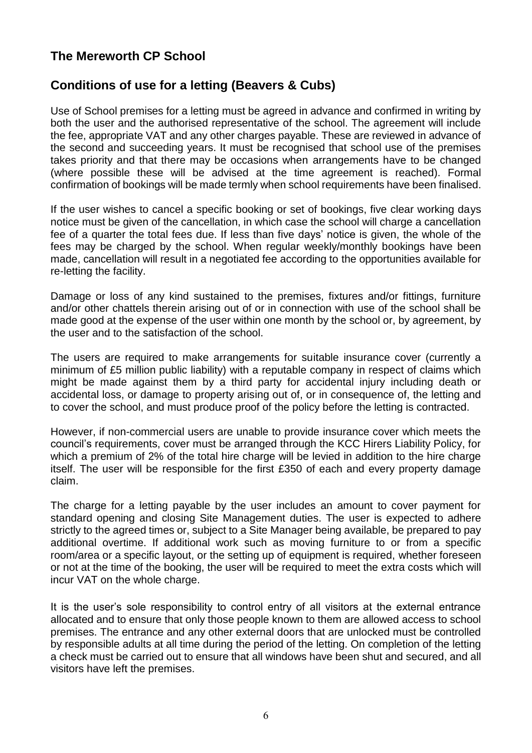# **The Mereworth CP School**

# **Conditions of use for a letting (Beavers & Cubs)**

Use of School premises for a letting must be agreed in advance and confirmed in writing by both the user and the authorised representative of the school. The agreement will include the fee, appropriate VAT and any other charges payable. These are reviewed in advance of the second and succeeding years. It must be recognised that school use of the premises takes priority and that there may be occasions when arrangements have to be changed (where possible these will be advised at the time agreement is reached). Formal confirmation of bookings will be made termly when school requirements have been finalised.

If the user wishes to cancel a specific booking or set of bookings, five clear working days notice must be given of the cancellation, in which case the school will charge a cancellation fee of a quarter the total fees due. If less than five days' notice is given, the whole of the fees may be charged by the school. When regular weekly/monthly bookings have been made, cancellation will result in a negotiated fee according to the opportunities available for re-letting the facility.

Damage or loss of any kind sustained to the premises, fixtures and/or fittings, furniture and/or other chattels therein arising out of or in connection with use of the school shall be made good at the expense of the user within one month by the school or, by agreement, by the user and to the satisfaction of the school.

The users are required to make arrangements for suitable insurance cover (currently a minimum of £5 million public liability) with a reputable company in respect of claims which might be made against them by a third party for accidental injury including death or accidental loss, or damage to property arising out of, or in consequence of, the letting and to cover the school, and must produce proof of the policy before the letting is contracted.

However, if non-commercial users are unable to provide insurance cover which meets the council's requirements, cover must be arranged through the KCC Hirers Liability Policy, for which a premium of 2% of the total hire charge will be levied in addition to the hire charge itself. The user will be responsible for the first £350 of each and every property damage claim.

The charge for a letting payable by the user includes an amount to cover payment for standard opening and closing Site Management duties. The user is expected to adhere strictly to the agreed times or, subject to a Site Manager being available, be prepared to pay additional overtime. If additional work such as moving furniture to or from a specific room/area or a specific layout, or the setting up of equipment is required, whether foreseen or not at the time of the booking, the user will be required to meet the extra costs which will incur VAT on the whole charge.

It is the user's sole responsibility to control entry of all visitors at the external entrance allocated and to ensure that only those people known to them are allowed access to school premises. The entrance and any other external doors that are unlocked must be controlled by responsible adults at all time during the period of the letting. On completion of the letting a check must be carried out to ensure that all windows have been shut and secured, and all visitors have left the premises.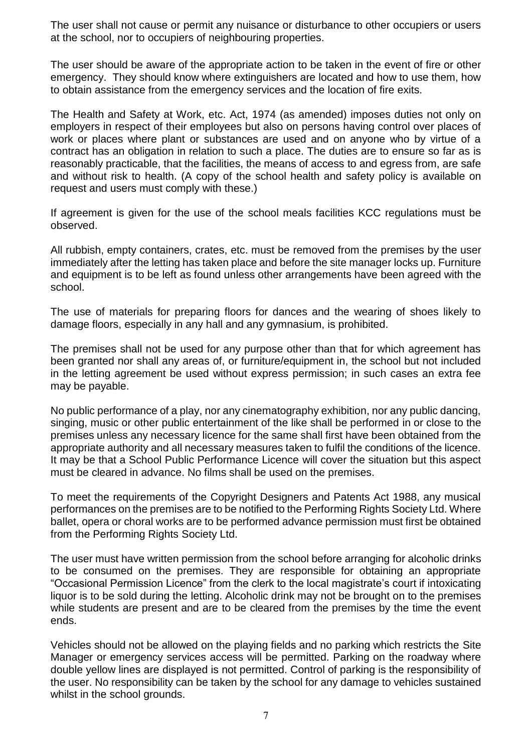The user shall not cause or permit any nuisance or disturbance to other occupiers or users at the school, nor to occupiers of neighbouring properties.

The user should be aware of the appropriate action to be taken in the event of fire or other emergency. They should know where extinguishers are located and how to use them, how to obtain assistance from the emergency services and the location of fire exits.

The Health and Safety at Work, etc. Act, 1974 (as amended) imposes duties not only on employers in respect of their employees but also on persons having control over places of work or places where plant or substances are used and on anyone who by virtue of a contract has an obligation in relation to such a place. The duties are to ensure so far as is reasonably practicable, that the facilities, the means of access to and egress from, are safe and without risk to health. (A copy of the school health and safety policy is available on request and users must comply with these.)

If agreement is given for the use of the school meals facilities KCC regulations must be observed.

All rubbish, empty containers, crates, etc. must be removed from the premises by the user immediately after the letting has taken place and before the site manager locks up. Furniture and equipment is to be left as found unless other arrangements have been agreed with the school.

The use of materials for preparing floors for dances and the wearing of shoes likely to damage floors, especially in any hall and any gymnasium, is prohibited.

The premises shall not be used for any purpose other than that for which agreement has been granted nor shall any areas of, or furniture/equipment in, the school but not included in the letting agreement be used without express permission; in such cases an extra fee may be payable.

No public performance of a play, nor any cinematography exhibition, nor any public dancing, singing, music or other public entertainment of the like shall be performed in or close to the premises unless any necessary licence for the same shall first have been obtained from the appropriate authority and all necessary measures taken to fulfil the conditions of the licence. It may be that a School Public Performance Licence will cover the situation but this aspect must be cleared in advance. No films shall be used on the premises.

To meet the requirements of the Copyright Designers and Patents Act 1988, any musical performances on the premises are to be notified to the Performing Rights Society Ltd. Where ballet, opera or choral works are to be performed advance permission must first be obtained from the Performing Rights Society Ltd.

The user must have written permission from the school before arranging for alcoholic drinks to be consumed on the premises. They are responsible for obtaining an appropriate "Occasional Permission Licence" from the clerk to the local magistrate's court if intoxicating liquor is to be sold during the letting. Alcoholic drink may not be brought on to the premises while students are present and are to be cleared from the premises by the time the event ends.

Vehicles should not be allowed on the playing fields and no parking which restricts the Site Manager or emergency services access will be permitted. Parking on the roadway where double yellow lines are displayed is not permitted. Control of parking is the responsibility of the user. No responsibility can be taken by the school for any damage to vehicles sustained whilst in the school grounds.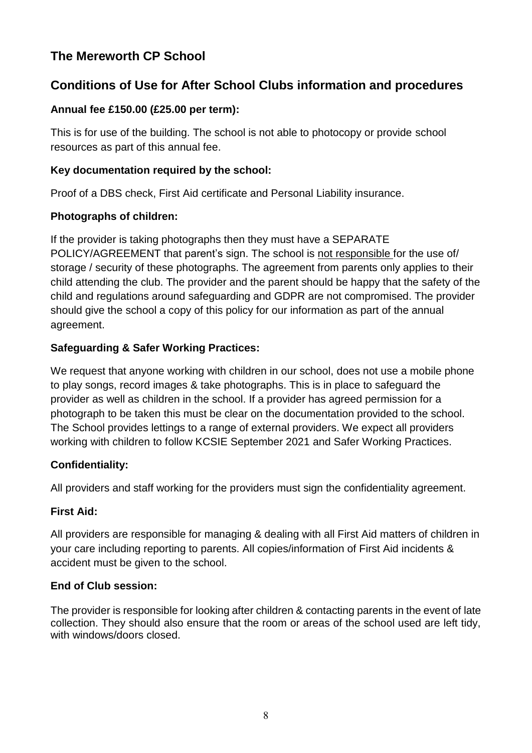# **The Mereworth CP School**

# **Conditions of Use for After School Clubs information and procedures**

# **Annual fee £150.00 (£25.00 per term):**

This is for use of the building. The school is not able to photocopy or provide school resources as part of this annual fee.

# **Key documentation required by the school:**

Proof of a DBS check, First Aid certificate and Personal Liability insurance.

# **Photographs of children:**

If the provider is taking photographs then they must have a SEPARATE POLICY/AGREEMENT that parent's sign. The school is not responsible for the use of/ storage / security of these photographs. The agreement from parents only applies to their child attending the club. The provider and the parent should be happy that the safety of the child and regulations around safeguarding and GDPR are not compromised. The provider should give the school a copy of this policy for our information as part of the annual agreement.

# **Safeguarding & Safer Working Practices:**

We request that anyone working with children in our school, does not use a mobile phone to play songs, record images & take photographs. This is in place to safeguard the provider as well as children in the school. If a provider has agreed permission for a photograph to be taken this must be clear on the documentation provided to the school. The School provides lettings to a range of external providers. We expect all providers working with children to follow KCSIE September 2021 and Safer Working Practices.

## **Confidentiality:**

All providers and staff working for the providers must sign the confidentiality agreement.

## **First Aid:**

All providers are responsible for managing & dealing with all First Aid matters of children in your care including reporting to parents. All copies/information of First Aid incidents & accident must be given to the school.

## **End of Club session:**

The provider is responsible for looking after children & contacting parents in the event of late collection. They should also ensure that the room or areas of the school used are left tidy, with windows/doors closed.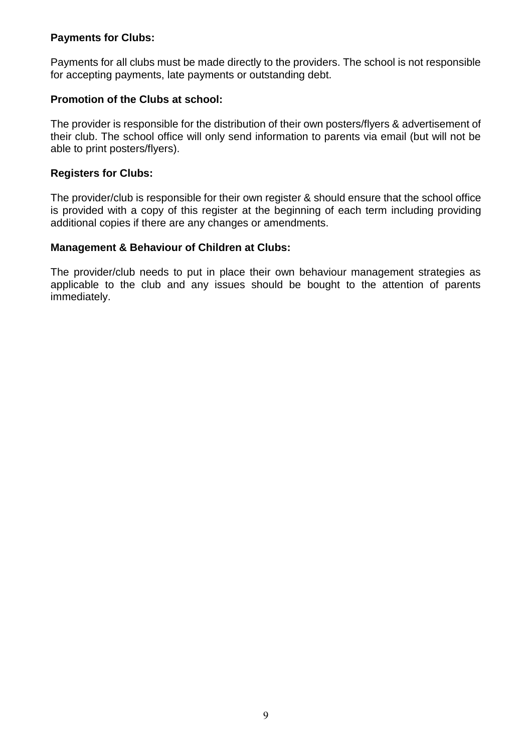### **Payments for Clubs:**

Payments for all clubs must be made directly to the providers. The school is not responsible for accepting payments, late payments or outstanding debt.

## **Promotion of the Clubs at school:**

The provider is responsible for the distribution of their own posters/flyers & advertisement of their club. The school office will only send information to parents via email (but will not be able to print posters/flyers).

### **Registers for Clubs:**

The provider/club is responsible for their own register & should ensure that the school office is provided with a copy of this register at the beginning of each term including providing additional copies if there are any changes or amendments.

## **Management & Behaviour of Children at Clubs:**

The provider/club needs to put in place their own behaviour management strategies as applicable to the club and any issues should be bought to the attention of parents immediately.